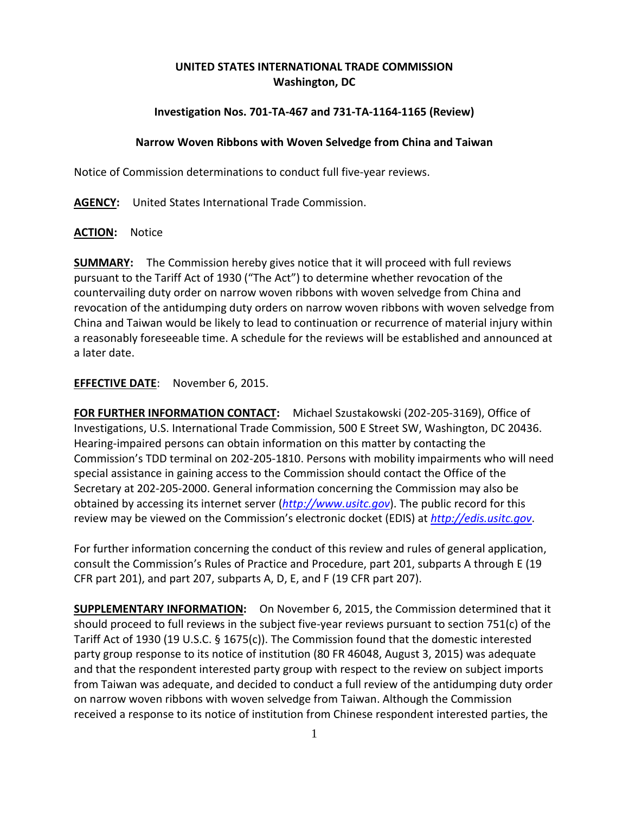# **UNITED STATES INTERNATIONAL TRADE COMMISSION Washington, DC**

## **Investigation Nos. 701-TA-467 and 731-TA-1164-1165 (Review)**

### **Narrow Woven Ribbons with Woven Selvedge from China and Taiwan**

Notice of Commission determinations to conduct full five-year reviews.

**AGENCY:** United States International Trade Commission.

#### **ACTION:** Notice

**SUMMARY:** The Commission hereby gives notice that it will proceed with full reviews pursuant to the Tariff Act of 1930 ("The Act") to determine whether revocation of the countervailing duty order on narrow woven ribbons with woven selvedge from China and revocation of the antidumping duty orders on narrow woven ribbons with woven selvedge from China and Taiwan would be likely to lead to continuation or recurrence of material injury within a reasonably foreseeable time. A schedule for the reviews will be established and announced at a later date.

## **EFFECTIVE DATE**: November 6, 2015.

**FOR FURTHER INFORMATION CONTACT:** Michael Szustakowski (202-205-3169), Office of Investigations, U.S. International Trade Commission, 500 E Street SW, Washington, DC 20436. Hearing-impaired persons can obtain information on this matter by contacting the Commission's TDD terminal on 202-205-1810. Persons with mobility impairments who will need special assistance in gaining access to the Commission should contact the Office of the Secretary at 202-205-2000. General information concerning the Commission may also be obtained by accessing its internet server (*[http://www.usitc.gov](http://www.usitc.gov/)*). The public record for this review may be viewed on the Commission's electronic docket (EDIS) at *[http://edis.usitc.gov](http://edis.usitc.gov/)*.

For further information concerning the conduct of this review and rules of general application, consult the Commission's Rules of Practice and Procedure, part 201, subparts A through E (19 CFR part 201), and part 207, subparts A, D, E, and F (19 CFR part 207).

**SUPPLEMENTARY INFORMATION:** On November 6, 2015, the Commission determined that it should proceed to full reviews in the subject five-year reviews pursuant to section 751(c) of the Tariff Act of 1930 (19 U.S.C. § 1675(c)). The Commission found that the domestic interested party group response to its notice of institution (80 FR 46048, August 3, 2015) was adequate and that the respondent interested party group with respect to the review on subject imports from Taiwan was adequate, and decided to conduct a full review of the antidumping duty order on narrow woven ribbons with woven selvedge from Taiwan. Although the Commission received a response to its notice of institution from Chinese respondent interested parties, the